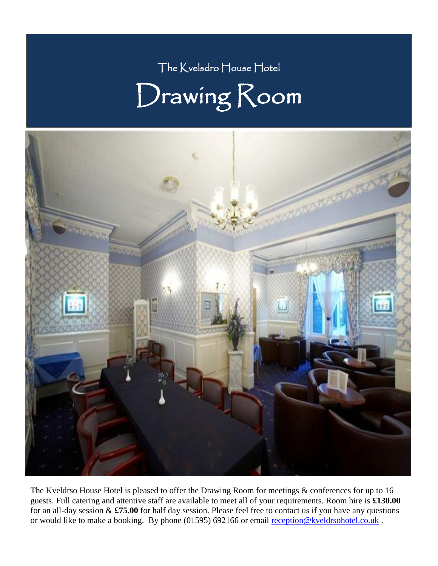## The Kvelsdro House Hotel Drawing Room



The Kveldrso House Hotel is pleased to offer the Drawing Room for meetings & conferences for up to 16 guests. Full catering and attentive staff are available to meet all of your requirements. Room hire is **£130.00** for an all-day session & **£75.00** for half day session. Please feel free to contact us if you have any questions or would like to make a booking. By phone (01595) 692166 or email [reception@kveldrsohotel.co.uk](mailto:reception@kveldrsohotel.co.uk).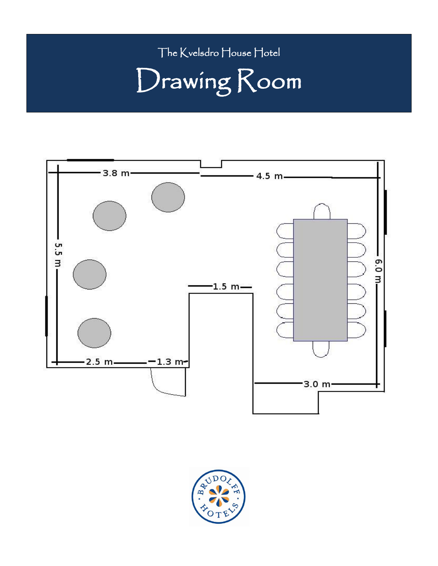### The Kvelsdro House Hotel

# Drawing Room